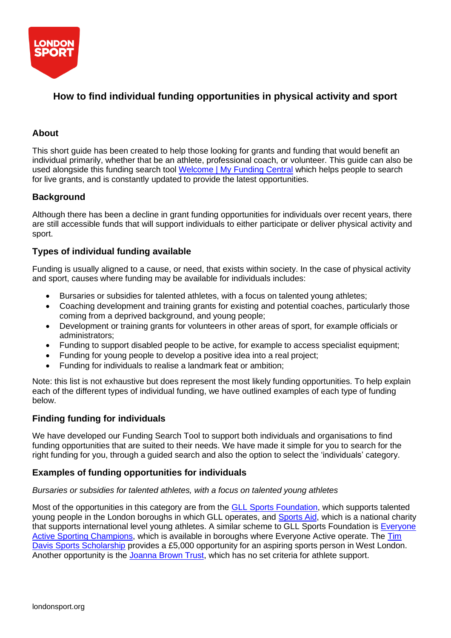

# **How to find individual funding opportunities in physical activity and sport**

## **About**

This short guide has been created to help those looking for grants and funding that would benefit an individual primarily, whether that be an athlete, professional coach, or volunteer. This guide can also be used alongside this funding search tool [Welcome | My Funding Central](https://www.myfundingcentral.co.uk/) which helps people to search for live grants, and is constantly updated to provide the latest opportunities.

### **Background**

Although there has been a decline in grant funding opportunities for individuals over recent years, there are still accessible funds that will support individuals to either participate or deliver physical activity and sport.

### **Types of individual funding available**

Funding is usually aligned to a cause, or need, that exists within society. In the case of physical activity and sport, causes where funding may be available for individuals includes:

- Bursaries or subsidies for talented athletes, with a focus on talented young athletes;
- Coaching development and training grants for existing and potential coaches, particularly those coming from a deprived background, and young people;
- Development or training grants for volunteers in other areas of sport, for example officials or administrators;
- Funding to support disabled people to be active, for example to access specialist equipment;
- Funding for young people to develop a positive idea into a real project;
- Funding for individuals to realise a landmark feat or ambition;

Note: this list is not exhaustive but does represent the most likely funding opportunities. To help explain each of the different types of individual funding, we have outlined examples of each type of funding below.

### **Finding funding for individuals**

We have developed our Funding Search Tool to support both individuals and organisations to find funding opportunities that are suited to their needs. We have made it simple for you to search for the right funding for you, through a guided search and also the option to select the 'individuals' category.

### **Examples of funding opportunities for individuals**

#### *Bursaries or subsidies for talented athletes, with a focus on talented young athletes*

Most of the opportunities in this category are from the **GLL Sports Foundation**, which supports talented young people in the London boroughs in which GLL operates, and [Sports Aid,](http://www.sportsaid.org.uk/) which is a national charity that supports international level young athletes. A similar scheme to GLL Sports Foundation is [Everyone](http://www.easportingchampions.com/) [Active Sporting Champions,](http://www.easportingchampions.com/) which is available in boroughs where Everyone Active operate. The [Tim](http://www.westway.org/news/%C2%A35000-sports-scholarship-supporting-future-champions) [Davis Sports Scholarship](http://www.westway.org/news/%C2%A35000-sports-scholarship-supporting-future-champions) provides a £5,000 opportunity for an aspiring sports person in West London. Another opportunity is the [Joanna](http://www.thejoannabrowntrust.org/) Brown Trust, which has no set criteria for athlete support.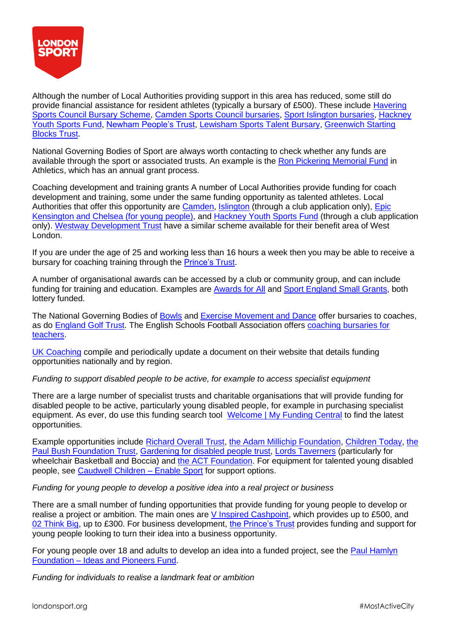

Although the number of Local Authorities providing support in this area has reduced, some still do provide financial assistance for resident athletes (typically a bursary of £500). These include [Havering](http://www.haveringsportscouncil.org.uk/index.php?option=com_content&view=article&id=43&Itemid=574) [Sports Council Bursary Scheme,](http://www.haveringsportscouncil.org.uk/index.php?option=com_content&view=article&id=43&Itemid=574) [Camden Sports Council bursaries,](http://cindex.camden.gov.uk/kb5/camden/cd/service.page?id=CF9_nGNPPqM&communitychannel=2-10-6) [Sport Islington bursaries,](http://sportislington.co.uk/get-funding/) [Hackney](https://www.hackney.gov.uk/sports-grants-employment-training) [Youth Sports Fund,](https://www.hackney.gov.uk/sports-grants-employment-training) [Newham People's Trust,](https://www.newham.gov.uk/Pages/Services/Newham-Peoples-Trust.aspx) [Lewisham Sports Talent Bursary,](https://www.lewisham.gov.uk/getinvolved/funding/sports-funding/Pages/Lewisham-Sports-Talent-Bursary.aspx) [Greenwich Starting](http://www.greenwichstartingblocks.org/) [Blocks](http://www.greenwichstartingblocks.org/) Trust.

National Governing Bodies of Sport are always worth contacting to check whether any funds are available through the sport or associated trusts. An example is the [Ron Pickering Memorial Fund](http://wwww.rpmf.org.uk/apply-grant/) in Athletics, which has an annual grant process.

Coaching development and training grants A number of Local Authorities provide funding for coach development and training, some under the same funding opportunity as talented athletes. Local Authorities that offer this opportunity are [Camden,](http://cindex.camden.gov.uk/kb5/camden/cd/service.page?id=CF9_nGNPPqM&communitychannel=2-10-6) [Islington](http://sportislington.co.uk/get-funding/) (through a club application only), [Epic](https://www.epiccic.org.uk/sports-coaching-bursary-scheme) [Kensington and Chelsea \(for young people\),](https://www.epiccic.org.uk/sports-coaching-bursary-scheme) and [Hackney Youth Sports Fund](https://www.hackney.gov.uk/sports-grants-employment-training) (through a club application only). [Westway Development Trust](http://www.westway.org/sports-bursary) have a similar scheme available for their benefit area of West London.

If you are under the age of 25 and working less than 16 hours a week then you may be able to receive a bursary for coaching training through the [Prince's](https://www.princes-trust.org.uk/help-for-young-people/get-funding-train-learn) Trust.

A number of organisational awards can be accessed by a club or community group, and can include funding for training and education. Examples are [Awards for All](https://www.biglotteryfund.org.uk/global-content/programmes/england/awards-for-all-england) and [Sport England Small Grants,](https://www.sportengland.org/funding/small-grants/) both lottery funded.

The National Governing Bodies of [Bowls](https://www.bowlsengland.com/for-bowlers/coaching-bursary) and [Exercise Movement and Dance](https://www.emdacademy.org/whats-available/open-bursary) offer bursaries to coaches, as do [England Golf Trust.](http://www.englandgolf.org/page.aspx?sitesectionid=1300&sitesectiontitle=Available%2Bfunding%2B%26%2Bbursaries) The English Schools Football Association offers [coaching bursaries for](http://www.esfa.co.uk/development/?esfa-coaching-bursaries) [teachers.](http://www.esfa.co.uk/development/?esfa-coaching-bursaries)

[UK Coaching](http://www.sportscoachuk.org/) compile and periodically update a document on their website that details funding opportunities nationally and by region.

*Funding to support disabled people to be active, for example to access specialist equipment*

There are a large number of specialist trusts and charitable organisations that will provide funding for disabled people to be active, particularly young disabled people, for example in purchasing specialist equipment. As ever, do use this funding search tool [Welcome | My Funding Central](http://funding.londonsport.org/) to find the latest opportunities.

Example opportunities include [Richard Overall Trust,](http://www.richardoveralltrust.co.uk/) [the Adam Millichip Foundation,](http://www.adammillichipfoundation.org/who-we-help.html) [Children Today,](http://www.childrentoday.org.uk/) [the](http://www.bushco.co.uk/the-paul-bush-foundation-trust/) [Paul Bush Foundation Trust,](http://www.bushco.co.uk/the-paul-bush-foundation-trust/) [Gardening for disabled people trust,](http://gardeningfordisabledtrust.org.uk/the-trust/apply-for-a-grant/) [Lords Taverners](http://www.lordstaverners.org/play-wheelchair-sports) (particularly for wheelchair Basketball and Boccia) and [the ACT Foundation.](http://www.theactfoundation.co.uk/content/apply-grant-individuals) For equipment for talented young disabled people, see [Caudwell Children](http://www.caudwellchildren.com/how-we-help/enable-sport/) – Enable Sport for support options.

*Funding for young people to develop a positive idea into a real project or business*

There are a small number of funding opportunities that provide funding for young people to develop or realise a project or ambition. The main ones are [V Inspired Cashpoint,](https://vinspired.com/cashpoint) which provides up to £500, and [02 Think Big,](http://www.o2thinkbig.co.uk/) up to £300. For business development, [the Prince's Trust](https://www.princes-trust.org.uk/help-for-young-people/support-starting-business) provides funding and support for young people looking to turn their idea into a business opportunity.

For young people over 18 and adults to develop an idea into a funded project, see the [Paul Hamlyn](http://www.phf.org.uk/funds/ideas-and-pioneers-fund/) [Foundation](http://www.phf.org.uk/funds/ideas-and-pioneers-fund/) – Ideas and Pioneers Fund.

*Funding for individuals to realise a landmark feat or ambition*